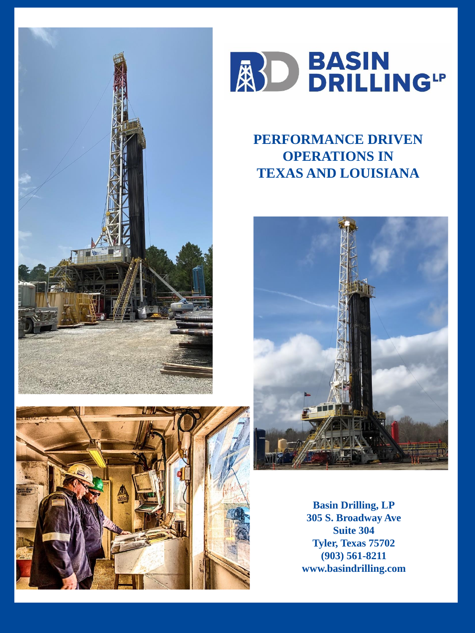





# **PERFORMANCE DRIVEN OPERATIONS IN TEXAS AND LOUISIANA**



**Basin Drilling, LP 305 S. Broadway Ave Suite 304 Tyler, Texas 75702 (903) 561-8211 www.basindrilling.com**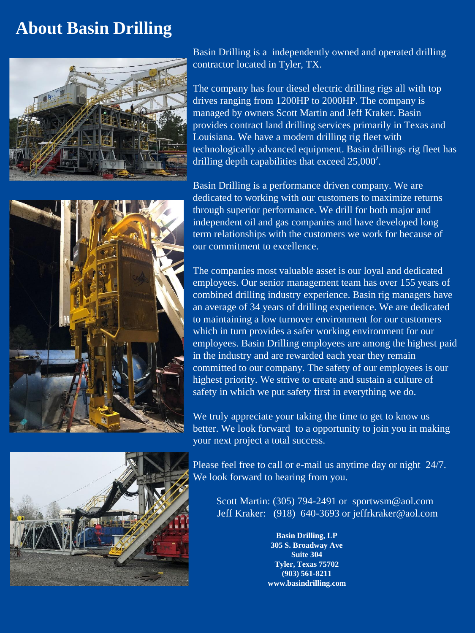# **About Basin Drilling**





Basin Drilling is a independently owned and operated drilling contractor located in Tyler, TX.

The company has four diesel electric drilling rigs all with top drives ranging from 1200HP to 2000HP. The company is managed by owners Scott Martin and Jeff Kraker. Basin provides contract land drilling services primarily in Texas and Louisiana. We have a modern drilling rig fleet with technologically advanced equipment. Basin drillings rig fleet has drilling depth capabilities that exceed 25,000′.

Basin Drilling is a performance driven company. We are dedicated to working with our customers to maximize returns through superior performance. We drill for both major and independent oil and gas companies and have developed long term relationships with the customers we work for because of our commitment to excellence.

The companies most valuable asset is our loyal and dedicated employees. Our senior management team has over 155 years of combined drilling industry experience. Basin rig managers have an average of 34 years of drilling experience. We are dedicated to maintaining a low turnover environment for our customers which in turn provides a safer working environment for our employees. Basin Drilling employees are among the highest paid in the industry and are rewarded each year they remain committed to our company. The safety of our employees is our highest priority. We strive to create and sustain a culture of safety in which we put safety first in everything we do.

We truly appreciate your taking the time to get to know us better. We look forward to a opportunity to join you in making your next project a total success.

Please feel free to call or e-mail us anytime day or night 24/7. We look forward to hearing from you.

Scott Martin: (305) 794-2491 or sportwsm@aol.com Jeff Kraker: (918) 640-3693 or jeffrkraker@aol.com

> **Basin Drilling, LP 305 S. Broadway Ave Suite 304 Tyler, Texas 75702 (903) 561-8211 www.basindrilling.com**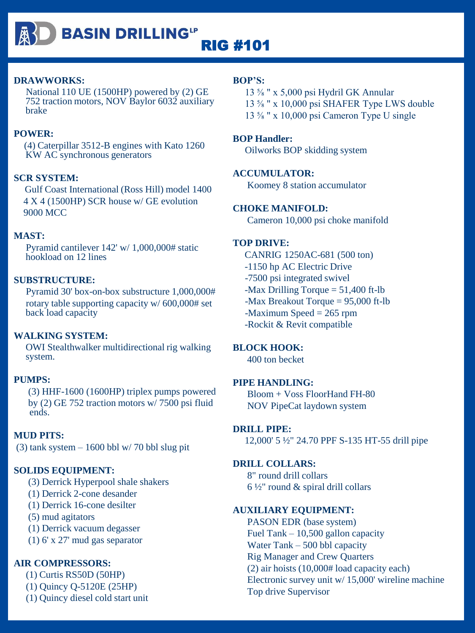

## **DRAWWORKS:**

National 110 UE (1500HP) powered by (2) GE 752 traction motors, NOV Baylor 6032 auxiliary brake

## **POWER:**

(4) Caterpillar 3512-B engines with Kato 1260 KW AC synchronous generators

## **SCR SYSTEM:**

Gulf Coast International (Ross Hill) model 1400 4 X 4 (1500HP) SCR house w/ GE evolution 9000 MCC

# **MAST:**

Pyramid cantilever 142' w/ 1,000,000# static hookload on 12 lines

## **SUBSTRUCTURE:**

Pyramid 30' box-on-box substructure 1,000,000# rotary table supporting capacity w/ 600,000# set back load capacity

# **WALKING SYSTEM:**

OWI Stealthwalker multidirectional rig walking system.

## **PUMPS:**

(3) HHF-1600 (1600HP) triplex pumps powered by (2) GE 752 traction motors w/ 7500 psi fluid ends.

# **MUD PITS:**

(3) tank system  $-1600$  bbl w/ 70 bbl slug pit

## **SOLIDS EQUIPMENT:**

(3) Derrick Hyperpool shale shakers

(1) Derrick 2-cone desander

(1) Derrick 16-cone desilter

(5) mud agitators

(1) Derrick vacuum degasser

(1) 6' x 27' mud gas separator

# **AIR COMPRESSORS:**

(1) Curtis RS50D (50HP)

- (1) Quincy Q-5120E (25HP)
- (1) Quincy diesel cold start unit

## **BOP'S:**

13 ⅝ " x 5,000 psi Hydril GK Annular 13 ⅝ " x 10,000 psi SHAFER Type LWS double 13 ⅝ " x 10,000 psi Cameron Type U single

## **BOP Handler:**

Oilworks BOP skidding system

## **ACCUMULATOR:**

Koomey 8 station accumulator

## **CHOKE MANIFOLD:**

Cameron 10,000 psi choke manifold

## **TOP DRIVE:**

CANRIG 1250AC-681 (500 ton) -1150 hp AC Electric Drive -7500 psi integrated swivel  $-Max$  Drilling Torque  $= 51,400$  ft-lb -Max Breakout Torque = 95,000 ft-lb  $-Maximum Speed = 265 rpm$ -Rockit & Revit compatible

## **BLOCK HOOK:**

400 ton becket

## **PIPE HANDLING:**

Bloom + Voss FloorHand FH-80 NOV PipeCat laydown system

# **DRILL PIPE:**

12,000' 5 ½" 24.70 PPF S-135 HT-55 drill pipe

## **DRILL COLLARS:**

8" round drill collars  $6\frac{1}{2}$ " round & spiral drill collars

## **AUXILIARY EQUIPMENT:**

PASON EDR (base system) Fuel Tank – 10,500 gallon capacity Water Tank – 500 bbl capacity Rig Manager and Crew Quarters (2) air hoists (10,000# load capacity each) Electronic survey unit w/ 15,000' wireline machine Top drive Supervisor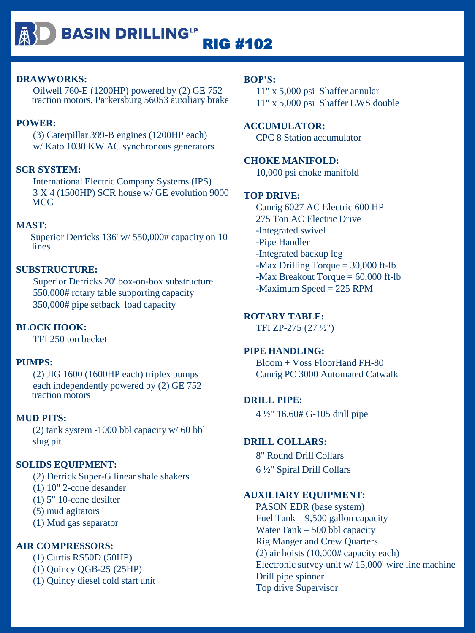**BASIN DRILLING"** 

RIG #102

## **DRAWWORKS:**

Oilwell 760-E (1200HP) powered by (2) GE 752 traction motors, Parkersburg 56053 auxiliary brake

# **POWER:**

(3) Caterpillar 399-B engines (1200HP each) w/ Kato 1030 KW AC synchronous generators

#### **SCR SYSTEM:**

International Electric Company Systems (IPS) 3 X 4 (1500HP) SCR house w/ GE evolution 9000 **MCC** 

## **MAST:**

Superior Derricks 136' w/ 550,000# capacity on 10 lines

#### **SUBSTRUCTURE:**

Superior Derricks 20' box-on-box substructure 550,000# rotary table supporting capacity 350,000# pipe setback load capacity

#### **BLOCK HOOK:**

TFI 250 ton becket

#### **PUMPS:**

(2) JIG 1600 (1600HP each) triplex pumps each independently powered by (2) GE 752 traction motors

#### **MUD PITS:**

(2) tank system -1000 bbl capacity w/ 60 bbl slug pit

## **SOLIDS EQUIPMENT:**

(2) Derrick Super-G linear shale shakers

(1) 10" 2-cone desander

(1) 5" 10-cone desilter

(5) mud agitators

(1) Mud gas separator

## **AIR COMPRESSORS:**

(1) Curtis RS50D (50HP) (1) Quincy QGB-25 (25HP) (1) Quincy diesel cold start unit

#### **BOP'S:**

11" x 5,000 psi Shaffer annular 11" x 5,000 psi Shaffer LWS double

# **ACCUMULATOR:**

CPC 8 Station accumulator

## **CHOKE MANIFOLD:**

10,000 psi choke manifold

#### **TOP DRIVE:**

Canrig 6027 AC Electric 600 HP 275 Ton AC Electric Drive -Integrated swivel -Pipe Handler -Integrated backup leg -Max Drilling Torque = 30,000 ft-lb -Max Breakout Torque = 60,000 ft-lb -Maximum Speed = 225 RPM

# **ROTARY TABLE:**

TFI ZP-275 (27 ½")

## **PIPE HANDLING:**

Bloom + Voss FloorHand FH-80 Canrig PC 3000 Automated Catwalk

#### **DRILL PIPE:**

4 ½" 16.60# G-105 drill pipe

#### **DRILL COLLARS:**

8" Round Drill Collars 6 ½" Spiral Drill Collars

# **AUXILIARY EQUIPMENT:**

PASON EDR (base system) Fuel Tank – 9,500 gallon capacity Water Tank – 500 bbl capacity Rig Manger and Crew Quarters (2) air hoists (10,000# capacity each) Electronic survey unit w/ 15,000' wire line machine Drill pipe spinner Top drive Supervisor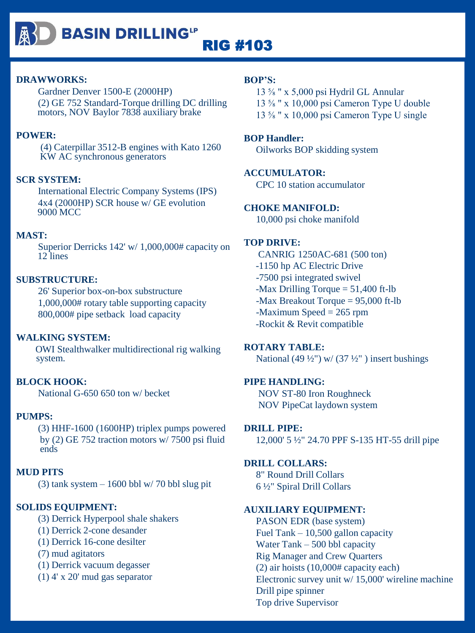

# **BASIN DRILLING"** RIG #103

# **DRAWWORKS:**

Gardner Denver 1500-E (2000HP) (2) GE 752 Standard-Torque drilling DC drilling motors, NOV Baylor 7838 auxiliary brake

# **POWER:**

(4) Caterpillar 3512-B engines with Kato 1260 KW AC synchronous generators

# **SCR SYSTEM:**

International Electric Company Systems (IPS) 4x4 (2000HP) SCR house w/ GE evolution 9000 MCC

# **MAST:**

Superior Derricks 142' w/ 1,000,000# capacity on 12 lines

# **SUBSTRUCTURE:**

26' Superior box-on-box substructure 1,000,000# rotary table supporting capacity 800,000# pipe setback load capacity

# **WALKING SYSTEM:**

OWI Stealthwalker multidirectional rig walking system.

# **BLOCK HOOK:**

National G-650 650 ton w/ becket

# **PUMPS:**

(3) HHF-1600 (1600HP) triplex pumps powered by (2) GE 752 traction motors w/ 7500 psi fluid ends

# **MUD PITS**

(3)  $tank system - 1600$  bbl w/ 70 bbl slug pit

# **SOLIDS EQUIPMENT:**

(3) Derrick Hyperpool shale shakers

- (1) Derrick 2-cone desander
- (1) Derrick 16-cone desilter
- (7) mud agitators
- (1) Derrick vacuum degasser
- (1) 4' x 20' mud gas separator

# **BOP'S:**

13 ⅝ " x 5,000 psi Hydril GL Annular 13 ⅝ " x 10,000 psi Cameron Type U double 13 ⅝ " x 10,000 psi Cameron Type U single

# **BOP Handler:**

Oilworks BOP skidding system

# **ACCUMULATOR:**

CPC 10 station accumulator

# **CHOKE MANIFOLD:**

10,000 psi choke manifold

# **TOP DRIVE:**

CANRIG 1250AC-681 (500 ton) -1150 hp AC Electric Drive -7500 psi integrated swivel -Max Drilling Torque  $= 51,400$  ft-lb -Max Breakout Torque = 95,000 ft-lb -Maximum Speed = 265 rpm -Rockit & Revit compatible

# **ROTARY TABLE:**

National (49  $\frac{1}{2}$ ") w/ (37  $\frac{1}{2}$ ") insert bushings

# **PIPE HANDLING:**

NOV ST-80 Iron Roughneck NOV PipeCat laydown system

# **DRILL PIPE:**

12,000' 5 ½" 24.70 PPF S-135 HT-55 drill pipe

# **DRILL COLLARS:**

8" Round Drill Collars 6 ½" Spiral Drill Collars

# **AUXILIARY EQUIPMENT:**

PASON EDR (base system) Fuel Tank – 10,500 gallon capacity Water Tank – 500 bbl capacity Rig Manager and Crew Quarters (2) air hoists (10,000# capacity each) Electronic survey unit w/ 15,000' wireline machine Drill pipe spinner Top drive Supervisor